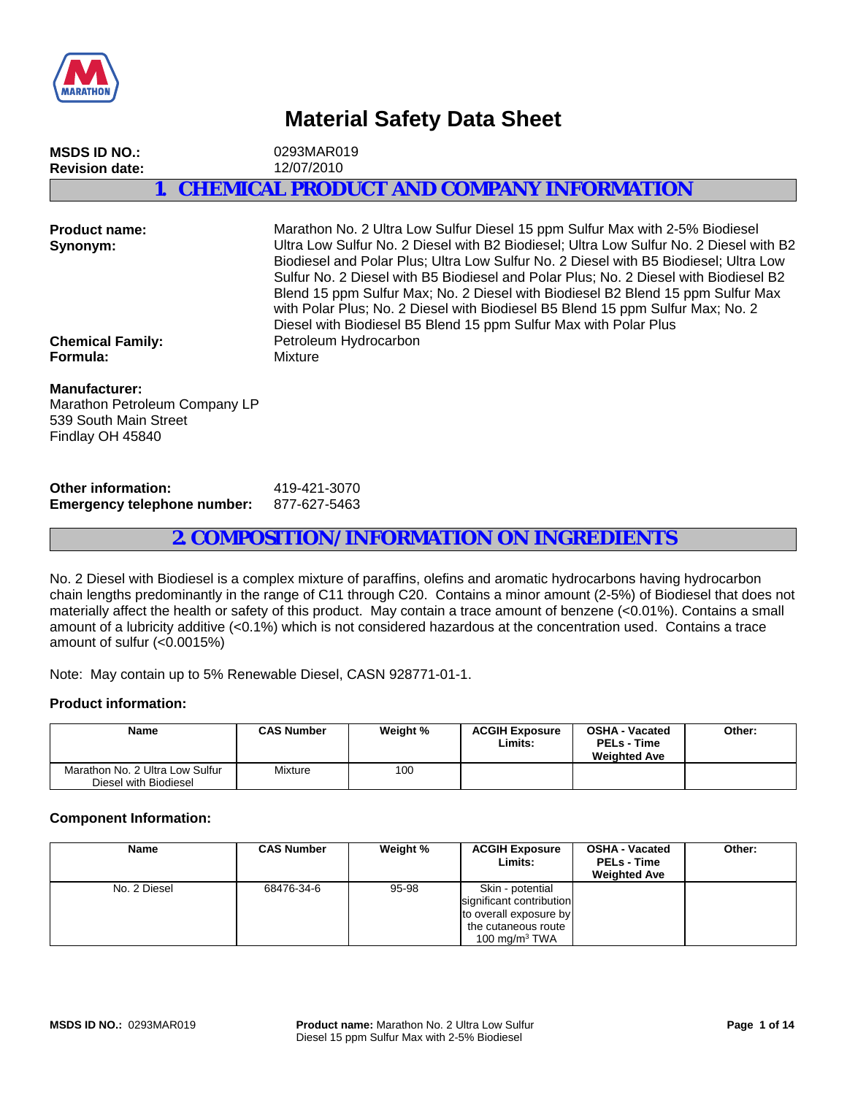

# **Material Safety Data Sheet**

| <b>MSDS ID NO.:</b>                                                                                | 0293MAR019                                                                                                                                                                                                                                                                                                                                                                                                                                                                                                      |
|----------------------------------------------------------------------------------------------------|-----------------------------------------------------------------------------------------------------------------------------------------------------------------------------------------------------------------------------------------------------------------------------------------------------------------------------------------------------------------------------------------------------------------------------------------------------------------------------------------------------------------|
| <b>Revision date:</b>                                                                              | 12/07/2010                                                                                                                                                                                                                                                                                                                                                                                                                                                                                                      |
|                                                                                                    | <b>1. CHEMICAL PRODUCT AND COMPANY INFORMATION</b>                                                                                                                                                                                                                                                                                                                                                                                                                                                              |
| <b>Product name:</b>                                                                               | Marathon No. 2 Ultra Low Sulfur Diesel 15 ppm Sulfur Max with 2-5% Biodiesel                                                                                                                                                                                                                                                                                                                                                                                                                                    |
| Synonym:                                                                                           | Ultra Low Sulfur No. 2 Diesel with B2 Biodiesel; Ultra Low Sulfur No. 2 Diesel with B2<br>Biodiesel and Polar Plus; Ultra Low Sulfur No. 2 Diesel with B5 Biodiesel; Ultra Low<br>Sulfur No. 2 Diesel with B5 Biodiesel and Polar Plus; No. 2 Diesel with Biodiesel B2<br>Blend 15 ppm Sulfur Max; No. 2 Diesel with Biodiesel B2 Blend 15 ppm Sulfur Max<br>with Polar Plus; No. 2 Diesel with Biodiesel B5 Blend 15 ppm Sulfur Max; No. 2<br>Diesel with Biodiesel B5 Blend 15 ppm Sulfur Max with Polar Plus |
| <b>Chemical Family:</b><br>Formula:                                                                | Petroleum Hydrocarbon<br>Mixture                                                                                                                                                                                                                                                                                                                                                                                                                                                                                |
| <b>Manufacturer:</b><br>Marathon Petroleum Company LP<br>539 South Main Street<br>Findlay OH 45840 |                                                                                                                                                                                                                                                                                                                                                                                                                                                                                                                 |

| Other information:                 | 419-421-3070 |
|------------------------------------|--------------|
| <b>Emergency telephone number:</b> | 877-627-5463 |

## **2. COMPOSITION/INFORMATION ON INGREDIENTS**

No. 2 Diesel with Biodiesel is a complex mixture of paraffins, olefins and aromatic hydrocarbons having hydrocarbon chain lengths predominantly in the range of C11 through C20. Contains a minor amount (2-5%) of Biodiesel that does not materially affect the health or safety of this product. May contain a trace amount of benzene (<0.01%). Contains a small amount of a lubricity additive (<0.1%) which is not considered hazardous at the concentration used. Contains a trace amount of sulfur (<0.0015%)

Note: May contain up to 5% Renewable Diesel, CASN 928771-01-1.

#### **Product information:**

| <b>Name</b>                                              | <b>CAS Number</b> | Weight % | <b>ACGIH Exposure</b><br>Limits: | <b>OSHA - Vacated</b><br><b>PELs - Time</b><br><b>Weighted Ave</b> | Other: |
|----------------------------------------------------------|-------------------|----------|----------------------------------|--------------------------------------------------------------------|--------|
| Marathon No. 2 Ultra Low Sulfur<br>Diesel with Biodiesel | Mixture           | 100      |                                  |                                                                    |        |

#### **Component Information:**

| Name         | <b>CAS Number</b> | Weight % | <b>ACGIH Exposure</b><br>Limits:                                                                                  | <b>OSHA - Vacated</b><br><b>PELs</b> - Time<br><b>Weighted Ave</b> | Other: |
|--------------|-------------------|----------|-------------------------------------------------------------------------------------------------------------------|--------------------------------------------------------------------|--------|
| No. 2 Diesel | 68476-34-6        | 95-98    | Skin - potential<br>significant contribution<br>to overall exposure by<br>the cutaneous route<br>100 mg/m $3$ TWA |                                                                    |        |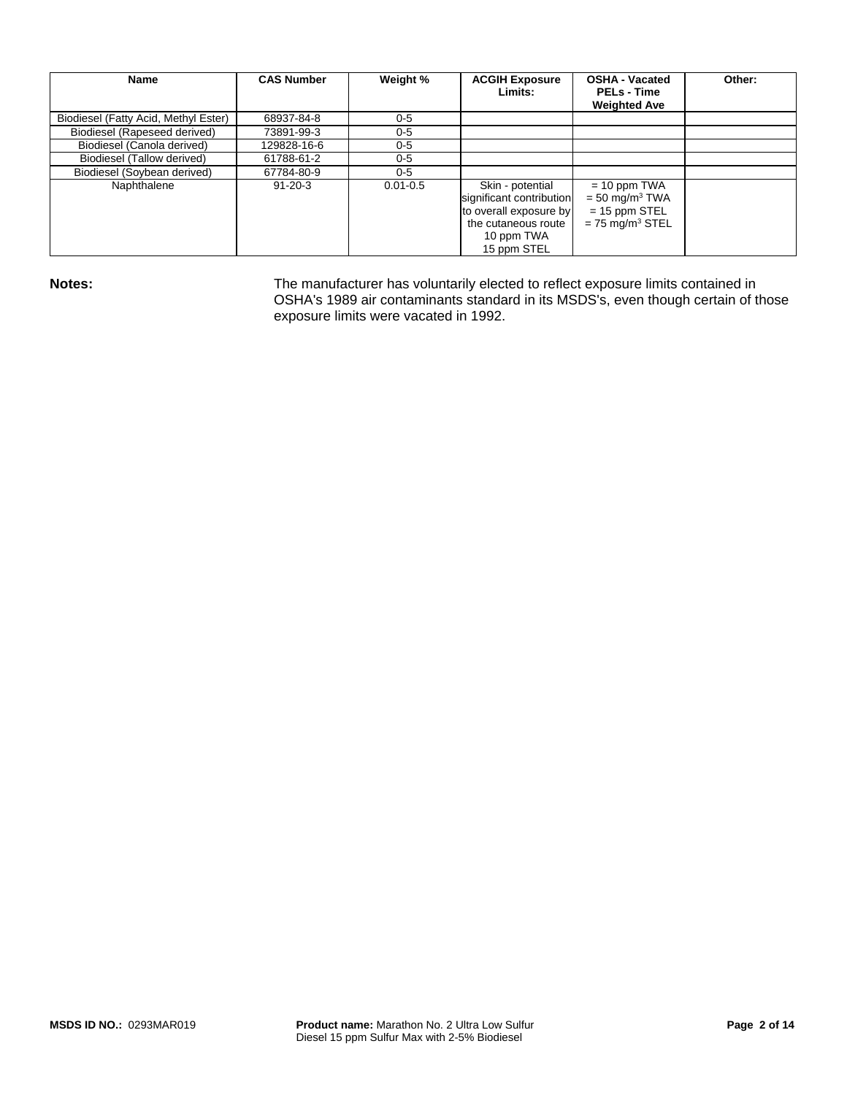| <b>Name</b>                          | <b>CAS Number</b> | Weight %     | <b>ACGIH Exposure</b><br>Limits:                                                                                           | <b>OSHA - Vacated</b><br><b>PELs - Time</b><br><b>Weighted Ave</b>                                 | Other: |
|--------------------------------------|-------------------|--------------|----------------------------------------------------------------------------------------------------------------------------|----------------------------------------------------------------------------------------------------|--------|
| Biodiesel (Fatty Acid, Methyl Ester) | 68937-84-8        | $0 - 5$      |                                                                                                                            |                                                                                                    |        |
| Biodiesel (Rapeseed derived)         | 73891-99-3        | $0 - 5$      |                                                                                                                            |                                                                                                    |        |
| Biodiesel (Canola derived)           | 129828-16-6       | $0 - 5$      |                                                                                                                            |                                                                                                    |        |
| Biodiesel (Tallow derived)           | 61788-61-2        | $0 - 5$      |                                                                                                                            |                                                                                                    |        |
| Biodiesel (Soybean derived)          | 67784-80-9        | $0 - 5$      |                                                                                                                            |                                                                                                    |        |
| Naphthalene                          | $91 - 20 - 3$     | $0.01 - 0.5$ | Skin - potential<br>significant contribution<br>to overall exposure by<br>the cutaneous route<br>10 ppm TWA<br>15 ppm STEL | $= 10$ ppm TWA<br>$=$ 50 mg/m <sup>3</sup> TWA<br>$= 15$ ppm STEL<br>$= 75$ mg/m <sup>3</sup> STEL |        |

Notes: **Notes:** The manufacturer has voluntarily elected to reflect exposure limits contained in OSHA's 1989 air contaminants standard in its MSDS's, even though certain of those exposure limits were vacated in 1992.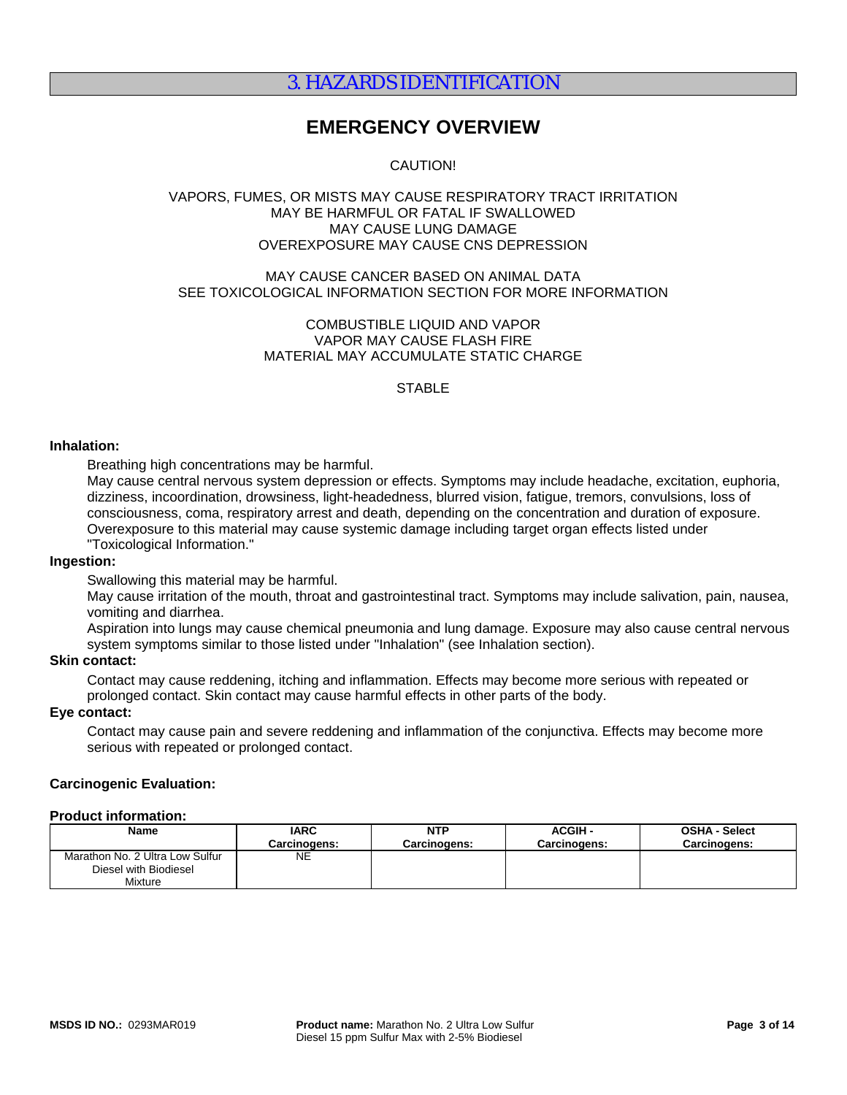## 3. HAZARDS IDENTIFICATION

## **EMERGENCY OVERVIEW**

#### CAUTION!

#### VAPORS, FUMES, OR MISTS MAY CAUSE RESPIRATORY TRACT IRRITATION MAY BE HARMFUL OR FATAL IF SWALLOWED MAY CAUSE LUNG DAMAGE OVEREXPOSURE MAY CAUSE CNS DEPRESSION

#### MAY CAUSE CANCER BASED ON ANIMAL DATA SEE TOXICOLOGICAL INFORMATION SECTION FOR MORE INFORMATION

#### COMBUSTIBLE LIQUID AND VAPOR VAPOR MAY CAUSE FLASH FIRE MATERIAL MAY ACCUMULATE STATIC CHARGE

#### **STABLE**

#### **Inhalation:**

Breathing high concentrations may be harmful.

May cause central nervous system depression or effects. Symptoms may include headache, excitation, euphoria, dizziness, incoordination, drowsiness, light-headedness, blurred vision, fatigue, tremors, convulsions, loss of consciousness, coma, respiratory arrest and death, depending on the concentration and duration of exposure. Overexposure to this material may cause systemic damage including target organ effects listed under "Toxicological Information."

#### **Ingestion:**

Swallowing this material may be harmful.

May cause irritation of the mouth, throat and gastrointestinal tract. Symptoms may include salivation, pain, nausea, vomiting and diarrhea.

Aspiration into lungs may cause chemical pneumonia and lung damage. Exposure may also cause central nervous system symptoms similar to those listed under "Inhalation" (see Inhalation section).

#### **Skin contact:**

Contact may cause reddening, itching and inflammation. Effects may become more serious with repeated or prolonged contact. Skin contact may cause harmful effects in other parts of the body.

#### **Eye contact:**

Contact may cause pain and severe reddening and inflammation of the conjunctiva. Effects may become more serious with repeated or prolonged contact.

#### **Carcinogenic Evaluation:**

#### **Product information:**

| <b>Name</b>                                              | <b>IARC</b>  | <b>NTP</b>          | <b>ACGIH-</b>       | <b>OSHA - Select</b> |
|----------------------------------------------------------|--------------|---------------------|---------------------|----------------------|
|                                                          | Carcinogens: | <b>Carcinogens:</b> | <b>Carcinogens:</b> | <b>Carcinogens:</b>  |
| Marathon No. 2 Ultra Low Sulfur<br>Diesel with Biodiesel | NΕ           |                     |                     |                      |
| Mixture                                                  |              |                     |                     |                      |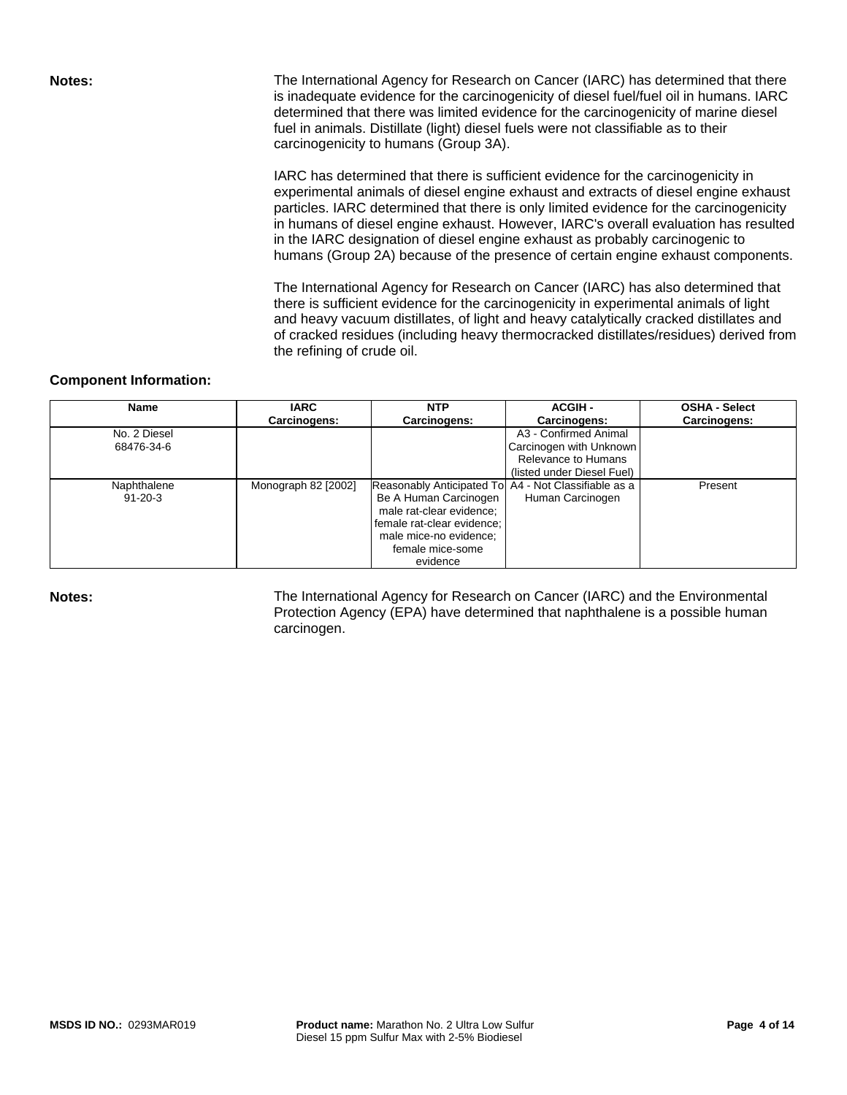**Notes:** The International Agency for Research on Cancer (IARC) has determined that there is inadequate evidence for the carcinogenicity of diesel fuel/fuel oil in humans. IARC determined that there was limited evidence for the carcinogenicity of marine diesel fuel in animals. Distillate (light) diesel fuels were not classifiable as to their carcinogenicity to humans (Group 3A).

> IARC has determined that there is sufficient evidence for the carcinogenicity in experimental animals of diesel engine exhaust and extracts of diesel engine exhaust particles. IARC determined that there is only limited evidence for the carcinogenicity in humans of diesel engine exhaust. However, IARC's overall evaluation has resulted in the IARC designation of diesel engine exhaust as probably carcinogenic to humans (Group 2A) because of the presence of certain engine exhaust components.

> The International Agency for Research on Cancer (IARC) has also determined that there is sufficient evidence for the carcinogenicity in experimental animals of light and heavy vacuum distillates, of light and heavy catalytically cracked distillates and of cracked residues (including heavy thermocracked distillates/residues) derived from the refining of crude oil.

#### **Component Information:**

| Name                         | <b>IARC</b><br>Carcinogens: | <b>NTP</b><br>Carcinogens:                                                                                                                                             | <b>ACGIH-</b><br>Carcinogens:                                                                         | <b>OSHA - Select</b><br>Carcinogens: |
|------------------------------|-----------------------------|------------------------------------------------------------------------------------------------------------------------------------------------------------------------|-------------------------------------------------------------------------------------------------------|--------------------------------------|
| No. 2 Diesel<br>68476-34-6   |                             |                                                                                                                                                                        | A3 - Confirmed Animal<br>Carcinogen with Unknown<br>Relevance to Humans<br>(listed under Diesel Fuel) |                                      |
| Naphthalene<br>$91 - 20 - 3$ | Monograph 82 [2002]         | Reasonably Anticipated To<br>Be A Human Carcinogen<br>male rat-clear evidence;<br>female rat-clear evidence;<br>male mice-no evidence;<br>female mice-some<br>evidence | A4 - Not Classifiable as a<br>Human Carcinogen                                                        | Present                              |

**Notes:** The International Agency for Research on Cancer (IARC) and the Environmental Protection Agency (EPA) have determined that naphthalene is a possible human carcinogen.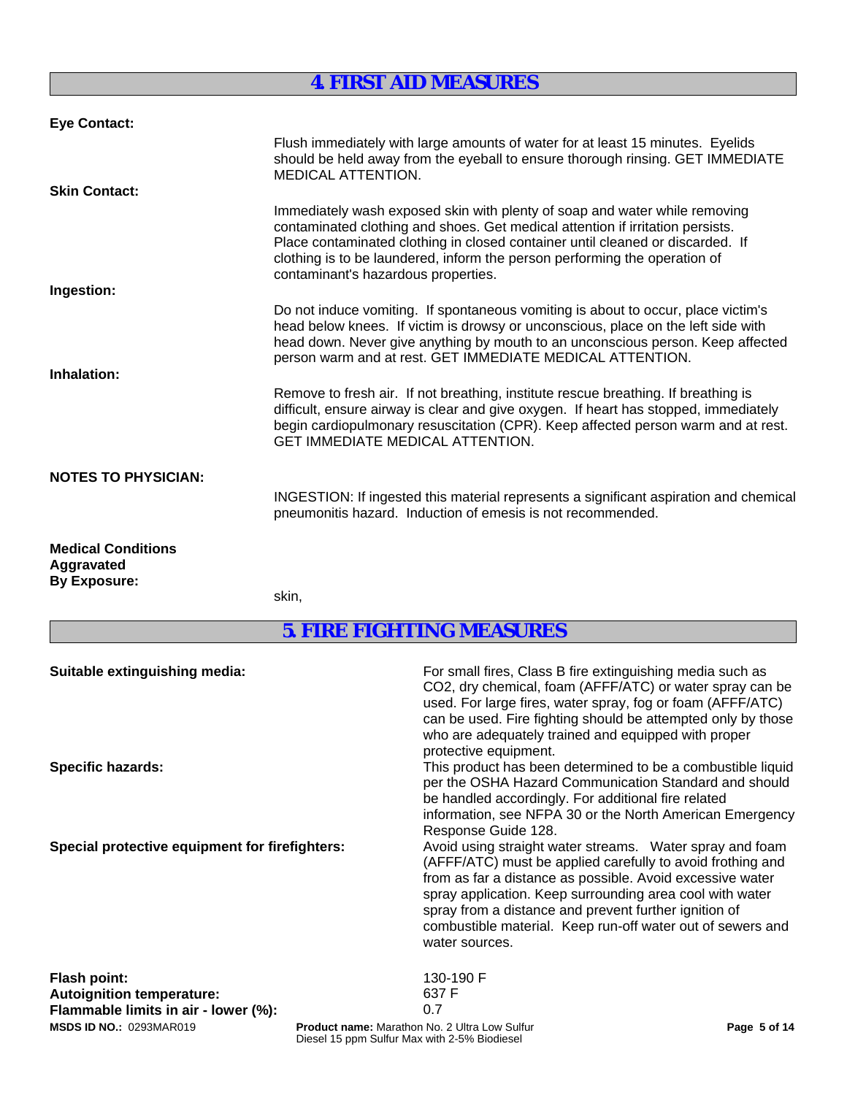# **4. FIRST AID MEASURES**

| <b>Eye Contact:</b>                                            |                                                                                                                                                                                                                                                                                                                                                                     |
|----------------------------------------------------------------|---------------------------------------------------------------------------------------------------------------------------------------------------------------------------------------------------------------------------------------------------------------------------------------------------------------------------------------------------------------------|
|                                                                | Flush immediately with large amounts of water for at least 15 minutes. Eyelids<br>should be held away from the eyeball to ensure thorough rinsing. GET IMMEDIATE<br><b>MEDICAL ATTENTION.</b>                                                                                                                                                                       |
| <b>Skin Contact:</b>                                           |                                                                                                                                                                                                                                                                                                                                                                     |
|                                                                | Immediately wash exposed skin with plenty of soap and water while removing<br>contaminated clothing and shoes. Get medical attention if irritation persists.<br>Place contaminated clothing in closed container until cleaned or discarded. If<br>clothing is to be laundered, inform the person performing the operation of<br>contaminant's hazardous properties. |
| Ingestion:                                                     |                                                                                                                                                                                                                                                                                                                                                                     |
| Inhalation:                                                    | Do not induce vomiting. If spontaneous vomiting is about to occur, place victim's<br>head below knees. If victim is drowsy or unconscious, place on the left side with<br>head down. Never give anything by mouth to an unconscious person. Keep affected<br>person warm and at rest. GET IMMEDIATE MEDICAL ATTENTION.                                              |
|                                                                | Remove to fresh air. If not breathing, institute rescue breathing. If breathing is<br>difficult, ensure airway is clear and give oxygen. If heart has stopped, immediately<br>begin cardiopulmonary resuscitation (CPR). Keep affected person warm and at rest.<br><b>GET IMMEDIATE MEDICAL ATTENTION.</b>                                                          |
| <b>NOTES TO PHYSICIAN:</b>                                     |                                                                                                                                                                                                                                                                                                                                                                     |
|                                                                | INGESTION: If ingested this material represents a significant aspiration and chemical<br>pneumonitis hazard. Induction of emesis is not recommended.                                                                                                                                                                                                                |
| <b>Medical Conditions</b><br>Aggravated<br><b>By Exposure:</b> |                                                                                                                                                                                                                                                                                                                                                                     |

skin,

# **5. FIRE FIGHTING MEASURES**

| Suitable extinguishing media:<br><b>Specific hazards:</b>                                       | For small fires, Class B fire extinguishing media such as<br>CO2, dry chemical, foam (AFFF/ATC) or water spray can be<br>used. For large fires, water spray, fog or foam (AFFF/ATC)<br>can be used. Fire fighting should be attempted only by those<br>who are adequately trained and equipped with proper<br>protective equipment.<br>This product has been determined to be a combustible liquid<br>per the OSHA Hazard Communication Standard and should<br>be handled accordingly. For additional fire related<br>information, see NFPA 30 or the North American Emergency<br>Response Guide 128. |              |
|-------------------------------------------------------------------------------------------------|-------------------------------------------------------------------------------------------------------------------------------------------------------------------------------------------------------------------------------------------------------------------------------------------------------------------------------------------------------------------------------------------------------------------------------------------------------------------------------------------------------------------------------------------------------------------------------------------------------|--------------|
| Special protective equipment for firefighters:                                                  | Avoid using straight water streams. Water spray and foam<br>(AFFF/ATC) must be applied carefully to avoid frothing and<br>from as far a distance as possible. Avoid excessive water<br>spray application. Keep surrounding area cool with water<br>spray from a distance and prevent further ignition of<br>combustible material. Keep run-off water out of sewers and<br>water sources.                                                                                                                                                                                                              |              |
| <b>Flash point:</b><br><b>Autoignition temperature:</b><br>Flammable limits in air - lower (%): | 130-190 F<br>637 F<br>0.7                                                                                                                                                                                                                                                                                                                                                                                                                                                                                                                                                                             |              |
| <b>MSDS ID NO.: 0293MAR019</b>                                                                  | Product name: Marathon No. 2 Ultra Low Sulfur                                                                                                                                                                                                                                                                                                                                                                                                                                                                                                                                                         | Page 5 of 14 |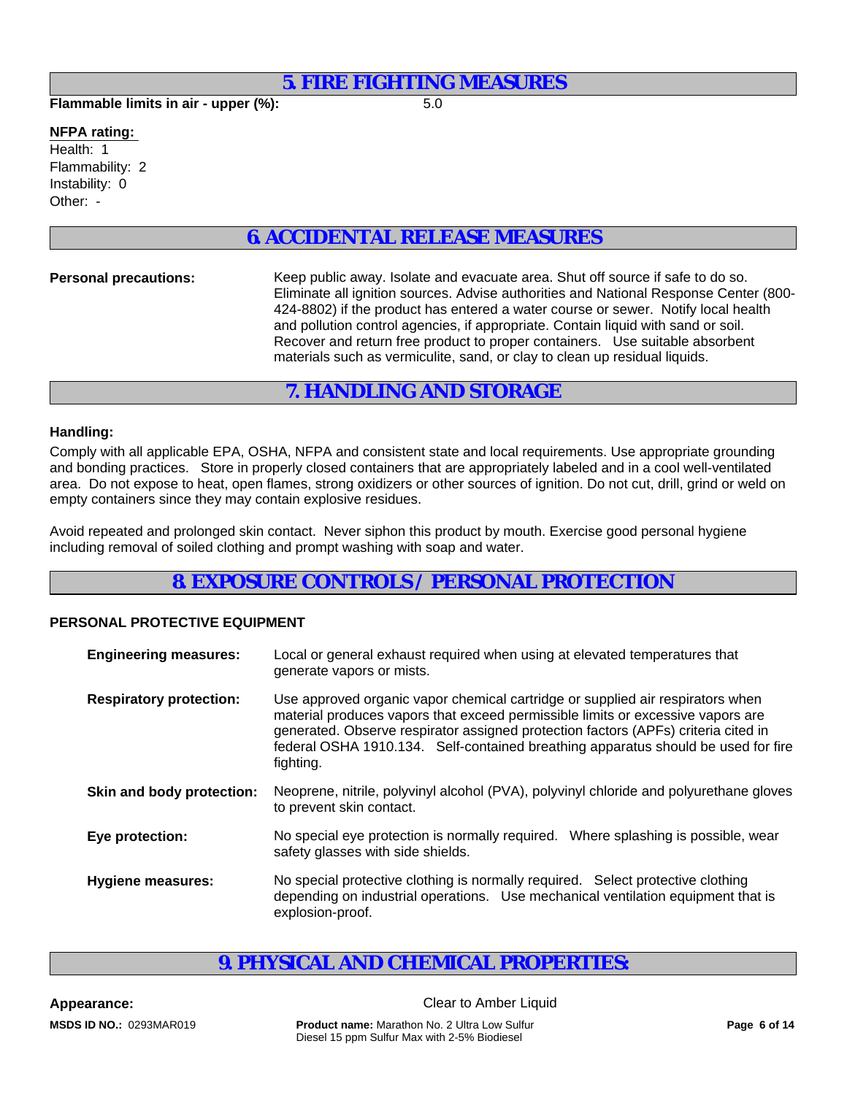## **5. FIRE FIGHTING MEASURES**

**Flammable limits in air - upper (%):** 5.0

#### **NFPA rating:**

Instability: 0 Other: - Flammability: 2 Health: 1

## **6. ACCIDENTAL RELEASE MEASURES**

**Personal precautions:** Keep public away. Isolate and evacuate area. Shut off source if safe to do so. Eliminate all ignition sources. Advise authorities and National Response Center (800- 424-8802) if the product has entered a water course or sewer. Notify local health and pollution control agencies, if appropriate. Contain liquid with sand or soil. Recover and return free product to proper containers. Use suitable absorbent materials such as vermiculite, sand, or clay to clean up residual liquids.

## **7. HANDLING AND STORAGE**

### **Handling:**

Comply with all applicable EPA, OSHA, NFPA and consistent state and local requirements. Use appropriate grounding and bonding practices. Store in properly closed containers that are appropriately labeled and in a cool well-ventilated area. Do not expose to heat, open flames, strong oxidizers or other sources of ignition. Do not cut, drill, grind or weld on empty containers since they may contain explosive residues.

Avoid repeated and prolonged skin contact. Never siphon this product by mouth. Exercise good personal hygiene including removal of soiled clothing and prompt washing with soap and water.

## **8. EXPOSURE CONTROLS / PERSONAL PROTECTION**

#### **PERSONAL PROTECTIVE EQUIPMENT**

| <b>Engineering measures:</b>   | Local or general exhaust required when using at elevated temperatures that<br>generate vapors or mists.                                                                                                                                                                                                                                                   |
|--------------------------------|-----------------------------------------------------------------------------------------------------------------------------------------------------------------------------------------------------------------------------------------------------------------------------------------------------------------------------------------------------------|
| <b>Respiratory protection:</b> | Use approved organic vapor chemical cartridge or supplied air respirators when<br>material produces vapors that exceed permissible limits or excessive vapors are<br>generated. Observe respirator assigned protection factors (APFs) criteria cited in<br>federal OSHA 1910.134. Self-contained breathing apparatus should be used for fire<br>fighting. |
| Skin and body protection:      | Neoprene, nitrile, polyvinyl alcohol (PVA), polyvinyl chloride and polyurethane gloves<br>to prevent skin contact.                                                                                                                                                                                                                                        |
| Eye protection:                | No special eye protection is normally required.  Where splashing is possible, wear<br>safety glasses with side shields.                                                                                                                                                                                                                                   |
| Hygiene measures:              | No special protective clothing is normally required. Select protective clothing<br>depending on industrial operations. Use mechanical ventilation equipment that is<br>explosion-proof.                                                                                                                                                                   |

## **9. PHYSICAL AND CHEMICAL PROPERTIES:**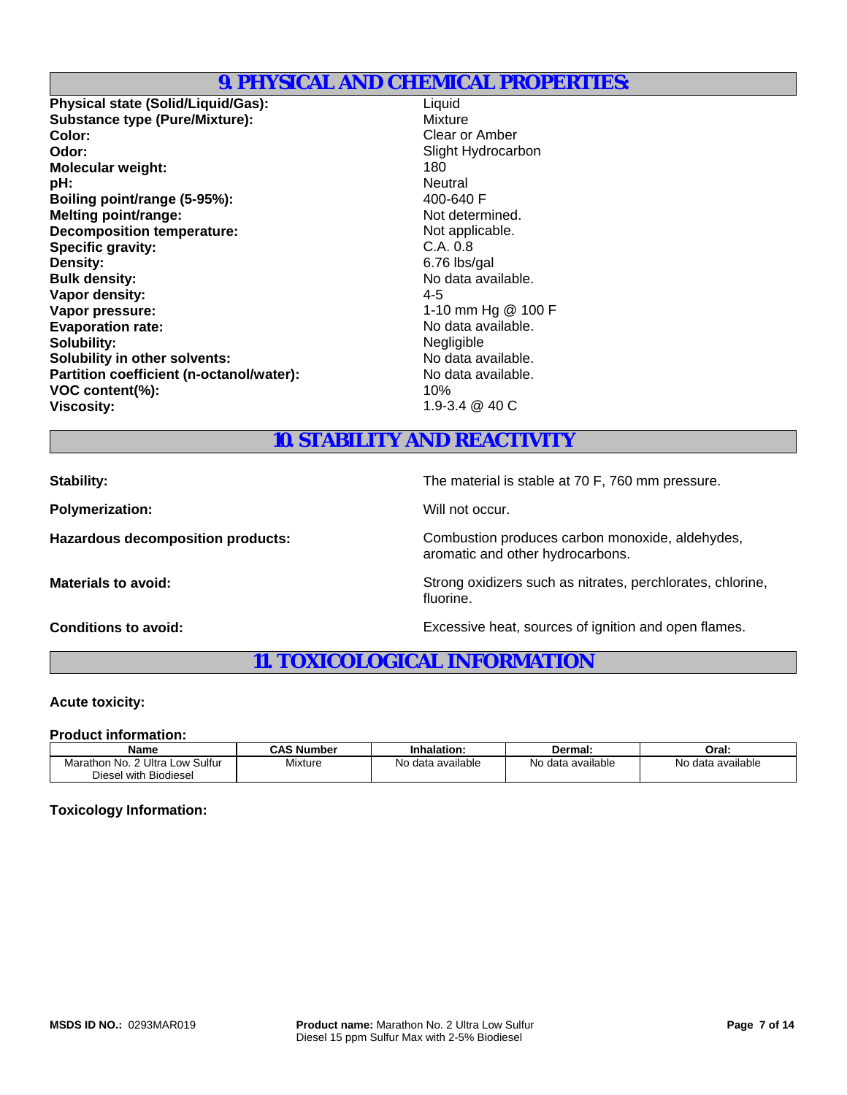## **9. PHYSICAL AND CHEMICAL PROPERTIES:**

**Physical state (Solid/Liquid/Gas):** Liquid **Substance type (Pure/Mixture):** Mixture **Color:** Color: Clear or Amber **Odor:** Slight Hydrocarbon **Molecular weight:** 180 **pH:** Neutral **Boiling point/range (5-95%):** 400-640 F **Melting point/range:** Not determined. **Decomposition temperature:** Not applicable.<br> **Specific gravity:** C.A. 0.8 **Specific gravity: Density:** 6.76 lbs/gal **Bulk density:** No data available. **Vapor density:** 4-5 **Vapor pressure:** 1-10 mm Hg @ 100 F Evaporation rate:<br>
Solubility:<br>
Solubility:<br>
Negligible **Solubility:**<br> **Solubility in other solvents:**<br> **Solubility in other solvents:**<br> **Solubility in other solvents: Solubility in other solvents:** No data available.<br> **Partition coefficient (n-octanol/water):** No data available. **Partition coefficient (n-octanol/water): VOC content(%):** 10% **Viscosity:** 1.9-3.4 @ 40 C

## **10. STABILITY AND REACTIVITY**

**Polymerization:** Will not occur.

**Stability:** The material is stable at 70 F, 760 mm pressure.

fluorine.

**Hazardous decomposition products:** Combustion produces carbon monoxide, aldehydes, aromatic and other hydrocarbons.

**Materials to avoid:** Strong oxidizers such as nitrates, perchlorates, chlorine,

**Conditions to avoid:** Excessive heat, sources of ignition and open flames.

## **11. TOXICOLOGICAL INFORMATION**

#### **Acute toxicity:**

#### **Product information:**

| Name                               | <b>CAS Number</b> | Inhalation:            | Dermal:              | Oral:             |
|------------------------------------|-------------------|------------------------|----------------------|-------------------|
| Ultra Low Sulfur<br>Marathon No. 2 | Mixture           | ı available<br>No data | data available<br>Νo | No data available |
| Diesel with Biodiesel              |                   |                        |                      |                   |

#### **Toxicology Information:**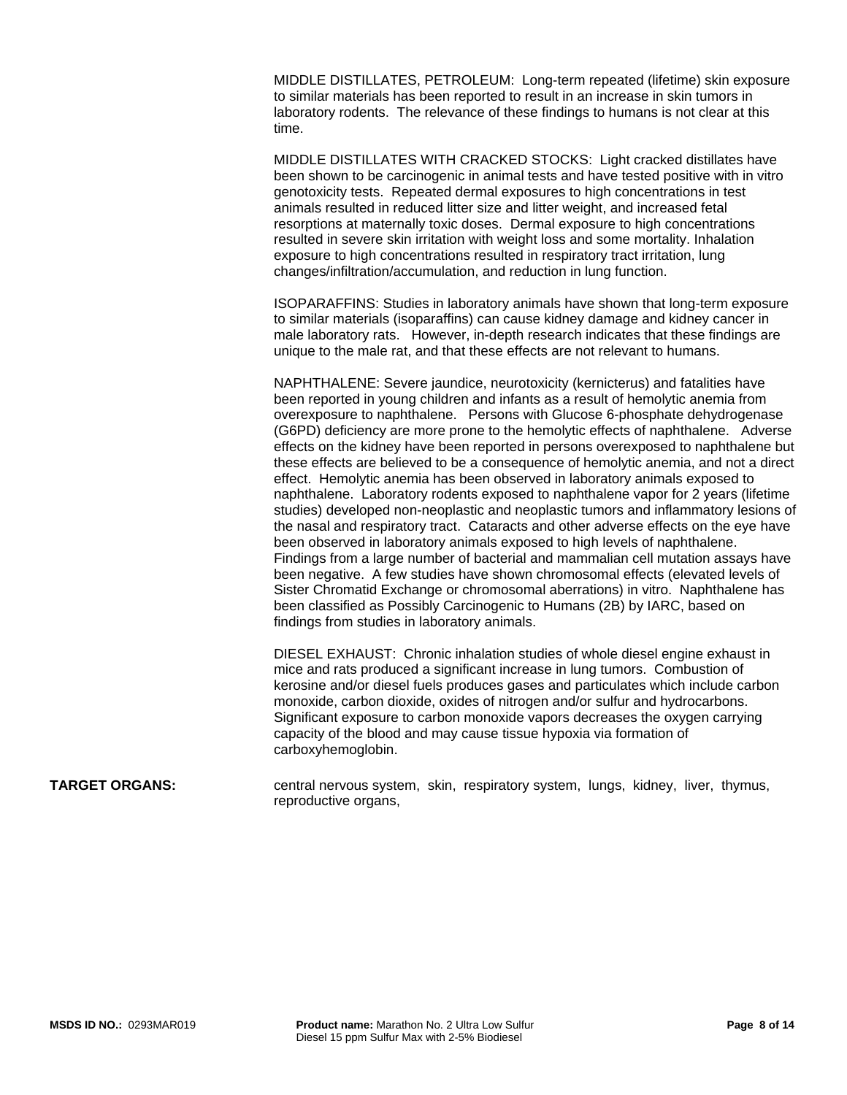MIDDLE DISTILLATES, PETROLEUM: Long-term repeated (lifetime) skin exposure to similar materials has been reported to result in an increase in skin tumors in laboratory rodents. The relevance of these findings to humans is not clear at this time.

MIDDLE DISTILLATES WITH CRACKED STOCKS: Light cracked distillates have been shown to be carcinogenic in animal tests and have tested positive with in vitro genotoxicity tests. Repeated dermal exposures to high concentrations in test animals resulted in reduced litter size and litter weight, and increased fetal resorptions at maternally toxic doses. Dermal exposure to high concentrations resulted in severe skin irritation with weight loss and some mortality. Inhalation exposure to high concentrations resulted in respiratory tract irritation, lung changes/infiltration/accumulation, and reduction in lung function.

ISOPARAFFINS: Studies in laboratory animals have shown that long-term exposure to similar materials (isoparaffins) can cause kidney damage and kidney cancer in male laboratory rats. However, in-depth research indicates that these findings are unique to the male rat, and that these effects are not relevant to humans.

NAPHTHALENE: Severe jaundice, neurotoxicity (kernicterus) and fatalities have been reported in young children and infants as a result of hemolytic anemia from overexposure to naphthalene. Persons with Glucose 6-phosphate dehydrogenase (G6PD) deficiency are more prone to the hemolytic effects of naphthalene. Adverse effects on the kidney have been reported in persons overexposed to naphthalene but these effects are believed to be a consequence of hemolytic anemia, and not a direct effect. Hemolytic anemia has been observed in laboratory animals exposed to naphthalene. Laboratory rodents exposed to naphthalene vapor for 2 years (lifetime studies) developed non-neoplastic and neoplastic tumors and inflammatory lesions of the nasal and respiratory tract. Cataracts and other adverse effects on the eye have been observed in laboratory animals exposed to high levels of naphthalene. Findings from a large number of bacterial and mammalian cell mutation assays have been negative. A few studies have shown chromosomal effects (elevated levels of Sister Chromatid Exchange or chromosomal aberrations) in vitro. Naphthalene has been classified as Possibly Carcinogenic to Humans (2B) by IARC, based on findings from studies in laboratory animals.

DIESEL EXHAUST: Chronic inhalation studies of whole diesel engine exhaust in mice and rats produced a significant increase in lung tumors. Combustion of kerosine and/or diesel fuels produces gases and particulates which include carbon monoxide, carbon dioxide, oxides of nitrogen and/or sulfur and hydrocarbons. Significant exposure to carbon monoxide vapors decreases the oxygen carrying capacity of the blood and may cause tissue hypoxia via formation of carboxyhemoglobin.

**TARGET ORGANS:** central nervous system, skin, respiratory system, lungs, kidney, liver, thymus, reproductive organs,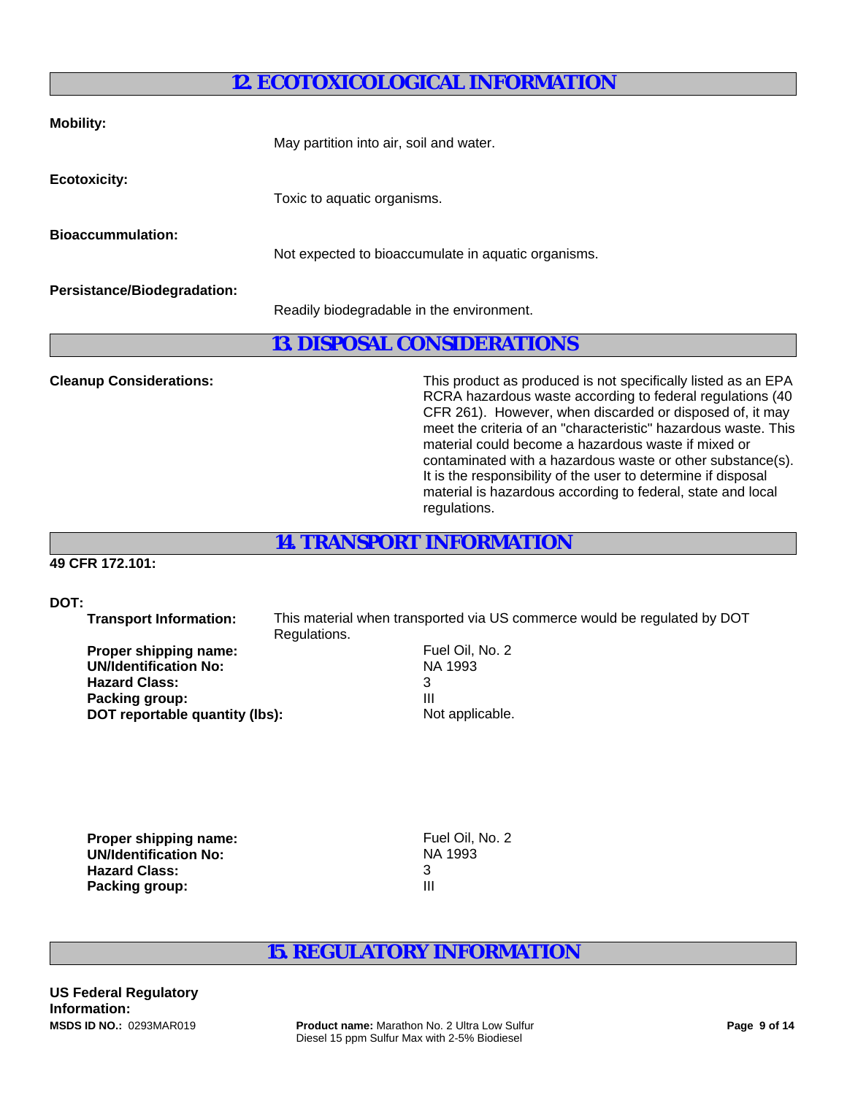## **12. ECOTOXICOLOGICAL INFORMATION**

| <b>Mobility:</b>            | May partition into air, soil and water.             |
|-----------------------------|-----------------------------------------------------|
| <b>Ecotoxicity:</b>         | Toxic to aquatic organisms.                         |
| <b>Bioaccummulation:</b>    | Not expected to bioaccumulate in aquatic organisms. |
| Persistance/Biodegradation: | Readily biodegradable in the environment.           |

**13. DISPOSAL CONSIDERATIONS**

**Cleanup Considerations:** This product as produced is not specifically listed as an EPA RCRA hazardous waste according to federal regulations (40 CFR 261). However, when discarded or disposed of, it may meet the criteria of an "characteristic" hazardous waste. This material could become a hazardous waste if mixed or contaminated with a hazardous waste or other substance(s). It is the responsibility of the user to determine if disposal material is hazardous according to federal, state and local regulations.

**14. TRANSPORT INFORMATION**

### **49 CFR 172.101:**

### **DOT:**

 **Transport Information:** This material when transported via US commerce would be regulated by DOT Regulations.

| Proper shipping name:          | Fuel Oil. |
|--------------------------------|-----------|
| <b>UN/Identification No:</b>   | NA 1993   |
| <b>Hazard Class:</b>           |           |
| Packing group:                 | Ш         |
| DOT reportable quantity (lbs): | Not appli |
|                                |           |

**Fuel Oil, No. 2**<br>NA 1993 Not applicable.

| Proper shipping name:        | Fuel Oil, No. 2 |
|------------------------------|-----------------|
| <b>UN/Identification No:</b> | NA 1993         |
| <b>Hazard Class:</b>         |                 |
| Packing group:               | Ш               |

## **15. REGULATORY INFORMATION**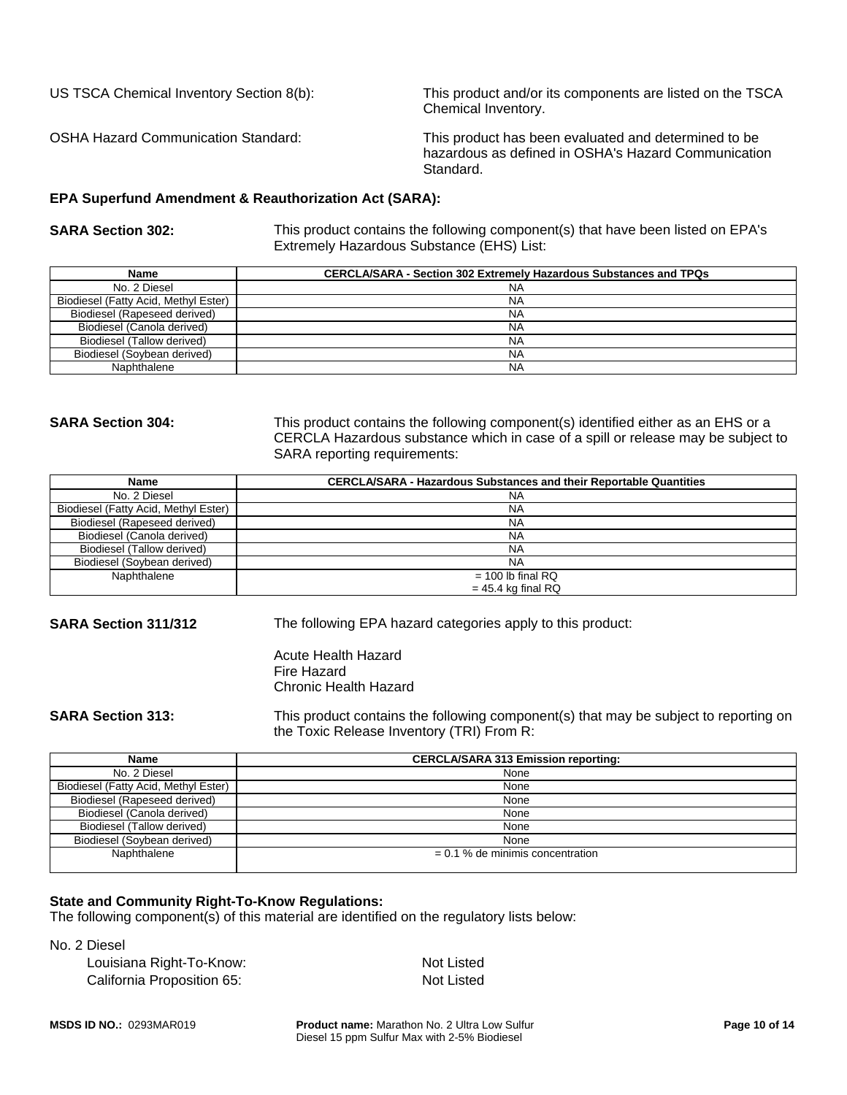US TSCA Chemical Inventory Section 8(b): This product and/or its components are listed on the TSCA Chemical Inventory.

OSHA Hazard Communication Standard: This product has been evaluated and determined to be hazardous as defined in OSHA's Hazard Communication Standard.

#### **EPA Superfund Amendment & Reauthorization Act (SARA):**

**SARA Section 302:** This product contains the following component(s) that have been listed on EPA's Extremely Hazardous Substance (EHS) List:

| Name                                 | <b>CERCLA/SARA - Section 302 Extremely Hazardous Substances and TPQs</b> |
|--------------------------------------|--------------------------------------------------------------------------|
| No. 2 Diesel                         | <b>NA</b>                                                                |
| Biodiesel (Fatty Acid, Methyl Ester) | <b>NA</b>                                                                |
| Biodiesel (Rapeseed derived)         | <b>NA</b>                                                                |
| Biodiesel (Canola derived)           | NA                                                                       |
| Biodiesel (Tallow derived)           | <b>NA</b>                                                                |
| Biodiesel (Soybean derived)          | <b>NA</b>                                                                |
| Naphthalene                          | <b>NA</b>                                                                |

**SARA Section 304:** This product contains the following component(s) identified either as an EHS or a CERCLA Hazardous substance which in case of a spill or release may be subject to SARA reporting requirements:

| Name                                 | <b>CERCLA/SARA - Hazardous Substances and their Reportable Quantities</b> |  |
|--------------------------------------|---------------------------------------------------------------------------|--|
| No. 2 Diesel                         | <b>NA</b>                                                                 |  |
| Biodiesel (Fatty Acid, Methyl Ester) | <b>NA</b>                                                                 |  |
| Biodiesel (Rapeseed derived)         | NA                                                                        |  |
| Biodiesel (Canola derived)           | <b>NA</b>                                                                 |  |
| Biodiesel (Tallow derived)           | <b>NA</b>                                                                 |  |
| Biodiesel (Soybean derived)          | <b>NA</b>                                                                 |  |
| Naphthalene                          | $= 100$ lb final RQ                                                       |  |
|                                      | $= 45.4$ kg final RQ                                                      |  |

**SARA Section 311/312** The following EPA hazard categories apply to this product:

Acute Health Hazard Fire Hazard Chronic Health Hazard

**SARA Section 313:** This product contains the following component(s) that may be subject to reporting on the Toxic Release Inventory (TRI) From R:

| Name                                 | <b>CERCLA/SARA 313 Emission reporting:</b> |
|--------------------------------------|--------------------------------------------|
| No. 2 Diesel                         | None                                       |
| Biodiesel (Fatty Acid, Methyl Ester) | None                                       |
| Biodiesel (Rapeseed derived)         | None                                       |
| Biodiesel (Canola derived)           | None                                       |
| Biodiesel (Tallow derived)           | None                                       |
| Biodiesel (Soybean derived)          | None                                       |
| Naphthalene                          | $= 0.1$ % de minimis concentration         |

### **State and Community Right-To-Know Regulations:**

The following component(s) of this material are identified on the regulatory lists below:

No. 2 Diesel

Louisiana Right-To-Know: Not Listed California Proposition 65:

Not Listed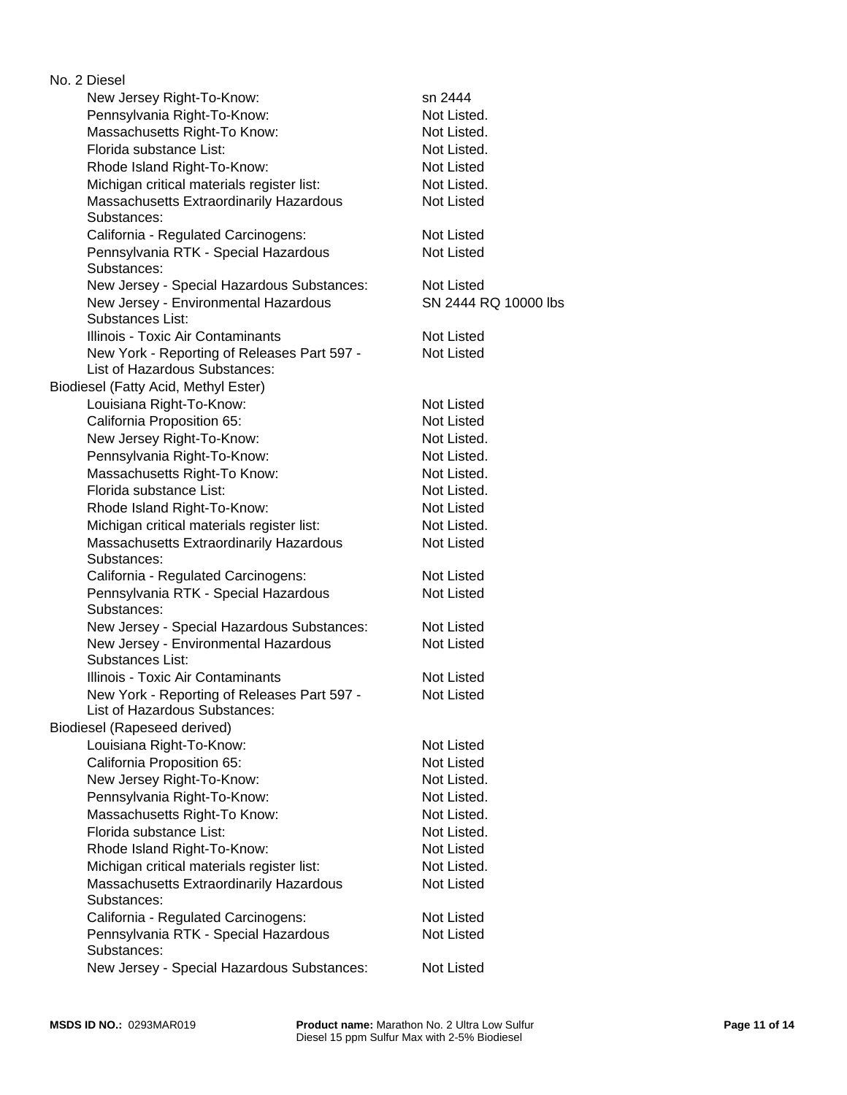| No. 2 Diesel                                                                        |                      |
|-------------------------------------------------------------------------------------|----------------------|
| New Jersey Right-To-Know:                                                           | sn 2444              |
| Pennsylvania Right-To-Know:                                                         | Not Listed.          |
| Massachusetts Right-To Know:                                                        | Not Listed.          |
| Florida substance List:                                                             | Not Listed.          |
| Rhode Island Right-To-Know:                                                         | Not Listed           |
| Michigan critical materials register list:                                          | Not Listed.          |
| Massachusetts Extraordinarily Hazardous                                             | <b>Not Listed</b>    |
| Substances:                                                                         |                      |
| California - Regulated Carcinogens:                                                 | <b>Not Listed</b>    |
| Pennsylvania RTK - Special Hazardous                                                | <b>Not Listed</b>    |
| Substances:                                                                         |                      |
| New Jersey - Special Hazardous Substances:                                          | Not Listed           |
| New Jersey - Environmental Hazardous                                                | SN 2444 RQ 10000 lbs |
| Substances List:                                                                    |                      |
| Illinois - Toxic Air Contaminants                                                   | <b>Not Listed</b>    |
| New York - Reporting of Releases Part 597 -                                         | <b>Not Listed</b>    |
| List of Hazardous Substances:                                                       |                      |
| Biodiesel (Fatty Acid, Methyl Ester)                                                |                      |
| Louisiana Right-To-Know:                                                            | Not Listed           |
| California Proposition 65:                                                          | <b>Not Listed</b>    |
| New Jersey Right-To-Know:                                                           | Not Listed.          |
| Pennsylvania Right-To-Know:                                                         | Not Listed.          |
| Massachusetts Right-To Know:                                                        | Not Listed.          |
| Florida substance List:                                                             | Not Listed.          |
| Rhode Island Right-To-Know:                                                         | Not Listed           |
| Michigan critical materials register list:                                          | Not Listed.          |
| Massachusetts Extraordinarily Hazardous<br>Substances:                              | Not Listed           |
| California - Regulated Carcinogens:                                                 | <b>Not Listed</b>    |
| Pennsylvania RTK - Special Hazardous                                                | <b>Not Listed</b>    |
| Substances:                                                                         |                      |
| New Jersey - Special Hazardous Substances:                                          | <b>Not Listed</b>    |
| New Jersey - Environmental Hazardous                                                | <b>Not Listed</b>    |
| Substances List:                                                                    |                      |
| Illinois - Toxic Air Contaminants                                                   | <b>Not Listed</b>    |
| New York - Reporting of Releases Part 597 -<br><b>List of Hazardous Substances:</b> | Not Listed           |
| Biodiesel (Rapeseed derived)                                                        |                      |
| Louisiana Right-To-Know:                                                            | Not Listed           |
| California Proposition 65:                                                          | Not Listed           |
| New Jersey Right-To-Know:                                                           | Not Listed.          |
| Pennsylvania Right-To-Know:                                                         | Not Listed.          |
| Massachusetts Right-To Know:                                                        | Not Listed.          |
| Florida substance List:                                                             | Not Listed.          |
| Rhode Island Right-To-Know:                                                         | Not Listed           |
| Michigan critical materials register list:                                          | Not Listed.          |
| Massachusetts Extraordinarily Hazardous                                             | Not Listed           |
| Substances:                                                                         |                      |
| California - Regulated Carcinogens:                                                 | Not Listed           |
| Pennsylvania RTK - Special Hazardous                                                | <b>Not Listed</b>    |
| Substances:                                                                         |                      |
| New Jersey - Special Hazardous Substances:                                          | Not Listed           |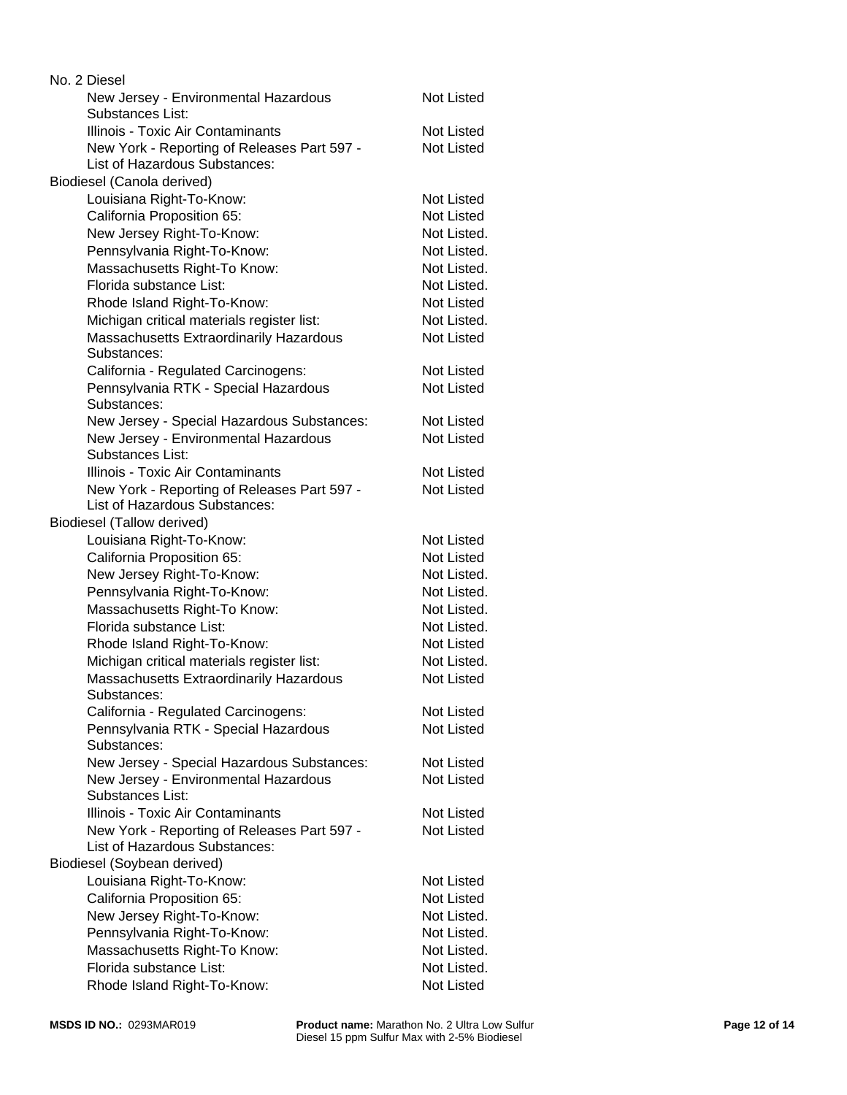| No. 2 Diesel                                                                 |                   |
|------------------------------------------------------------------------------|-------------------|
| New Jersey - Environmental Hazardous<br>Substances List:                     | Not Listed        |
| Illinois - Toxic Air Contaminants                                            | Not Listed        |
| New York - Reporting of Releases Part 597 -                                  | <b>Not Listed</b> |
| List of Hazardous Substances:                                                |                   |
| Biodiesel (Canola derived)                                                   |                   |
| Louisiana Right-To-Know:                                                     | <b>Not Listed</b> |
| California Proposition 65:                                                   | <b>Not Listed</b> |
| New Jersey Right-To-Know:                                                    | Not Listed.       |
| Pennsylvania Right-To-Know:                                                  | Not Listed.       |
| Massachusetts Right-To Know:                                                 | Not Listed.       |
| Florida substance List:                                                      | Not Listed.       |
| Rhode Island Right-To-Know:                                                  | Not Listed        |
| Michigan critical materials register list:                                   | Not Listed.       |
| Massachusetts Extraordinarily Hazardous<br>Substances:                       | <b>Not Listed</b> |
| California - Regulated Carcinogens:                                          | <b>Not Listed</b> |
| Pennsylvania RTK - Special Hazardous<br>Substances:                          | <b>Not Listed</b> |
| New Jersey - Special Hazardous Substances:                                   | <b>Not Listed</b> |
| New Jersey - Environmental Hazardous                                         | <b>Not Listed</b> |
| Substances List:                                                             |                   |
| Illinois - Toxic Air Contaminants                                            | Not Listed        |
| New York - Reporting of Releases Part 597 -                                  | <b>Not Listed</b> |
| List of Hazardous Substances:                                                |                   |
| Biodiesel (Tallow derived)                                                   |                   |
| Louisiana Right-To-Know:                                                     | <b>Not Listed</b> |
| California Proposition 65:                                                   | <b>Not Listed</b> |
| New Jersey Right-To-Know:                                                    | Not Listed.       |
| Pennsylvania Right-To-Know:                                                  | Not Listed.       |
| Massachusetts Right-To Know:                                                 | Not Listed.       |
| Florida substance List:                                                      | Not Listed.       |
| Rhode Island Right-To-Know:                                                  | Not Listed        |
| Michigan critical materials register list:                                   | Not Listed.       |
| Massachusetts Extraordinarily Hazardous<br>Substances:                       | <b>Not Listed</b> |
| California - Regulated Carcinogens:                                          | Not Listed        |
| Pennsylvania RTK - Special Hazardous<br>Substances:                          | <b>Not Listed</b> |
| New Jersey - Special Hazardous Substances:                                   | <b>Not Listed</b> |
| New Jersey - Environmental Hazardous<br><b>Substances List:</b>              | <b>Not Listed</b> |
| Illinois - Toxic Air Contaminants                                            | <b>Not Listed</b> |
| New York - Reporting of Releases Part 597 -<br>List of Hazardous Substances: | <b>Not Listed</b> |
| Biodiesel (Soybean derived)                                                  |                   |
| Louisiana Right-To-Know:                                                     | Not Listed        |
| California Proposition 65:                                                   | Not Listed        |
| New Jersey Right-To-Know:                                                    | Not Listed.       |
| Pennsylvania Right-To-Know:                                                  | Not Listed.       |
| Massachusetts Right-To Know:                                                 | Not Listed.       |
| Florida substance List:                                                      | Not Listed.       |
| Rhode Island Right-To-Know:                                                  | Not Listed        |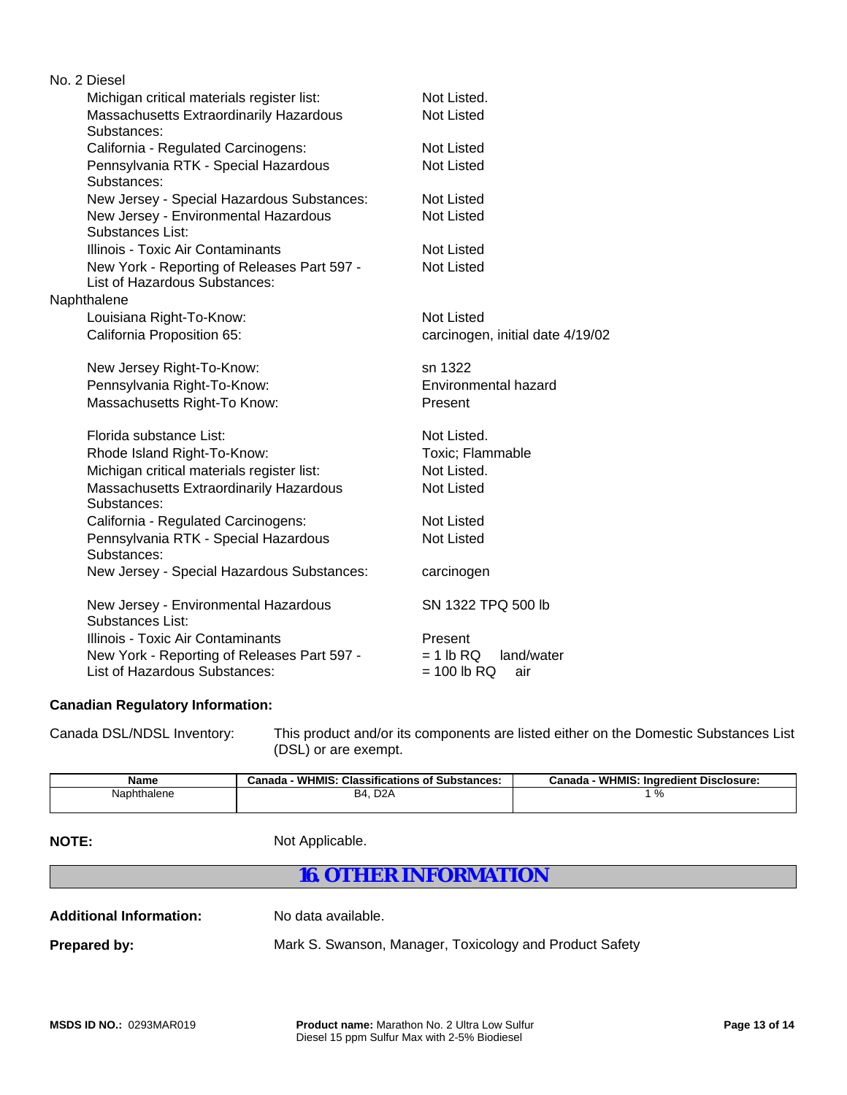| No. 2 Diesel                                                                 |                                                   |
|------------------------------------------------------------------------------|---------------------------------------------------|
| Michigan critical materials register list:                                   | Not Listed.                                       |
| Massachusetts Extraordinarily Hazardous<br>Substances:                       | <b>Not Listed</b>                                 |
| California - Regulated Carcinogens:                                          | <b>Not Listed</b>                                 |
| Pennsylvania RTK - Special Hazardous<br>Substances:                          | <b>Not Listed</b>                                 |
| New Jersey - Special Hazardous Substances:                                   | <b>Not Listed</b>                                 |
| New Jersey - Environmental Hazardous<br>Substances List:                     | <b>Not Listed</b>                                 |
| Illinois - Toxic Air Contaminants                                            | <b>Not Listed</b>                                 |
| New York - Reporting of Releases Part 597 -<br>List of Hazardous Substances: | <b>Not Listed</b>                                 |
| Naphthalene                                                                  |                                                   |
| Louisiana Right-To-Know:                                                     | Not Listed                                        |
| California Proposition 65:                                                   | carcinogen, initial date 4/19/02                  |
| New Jersey Right-To-Know:                                                    | sn 1322                                           |
| Pennsylvania Right-To-Know:                                                  | Environmental hazard                              |
| Massachusetts Right-To Know:                                                 | Present                                           |
| Florida substance List:                                                      | Not Listed.                                       |
| Rhode Island Right-To-Know:                                                  | Toxic; Flammable                                  |
| Michigan critical materials register list:                                   | Not Listed.                                       |
| Massachusetts Extraordinarily Hazardous<br>Substances:                       | <b>Not Listed</b>                                 |
| California - Regulated Carcinogens:                                          | <b>Not Listed</b>                                 |
| Pennsylvania RTK - Special Hazardous<br>Substances:                          | <b>Not Listed</b>                                 |
| New Jersey - Special Hazardous Substances:                                   | carcinogen                                        |
| New Jersey - Environmental Hazardous<br>Substances List:                     | SN 1322 TPQ 500 lb                                |
| Illinois - Toxic Air Contaminants                                            | Present                                           |
| New York - Reporting of Releases Part 597 -<br>List of Hazardous Substances: | $= 1 lb$ RQ<br>land/water<br>$= 100$ lb RQ<br>air |
|                                                                              |                                                   |

#### **Canadian Regulatory Information:**

Canada DSL/NDSL Inventory: This product and/or its components are listed either on the Domestic Substances List (DSL) or are exempt.

| Name        | <b>WHMIS</b><br><br>Canada<br>of Substances: ›<br><b>Classifications</b> | <b>WHMIS</b><br>: Inaredient Disclosure:<br>Canada |
|-------------|--------------------------------------------------------------------------|----------------------------------------------------|
| Naphthalene | D <sub>2</sub> A<br>R4                                                   | O/<br>70                                           |
|             |                                                                          |                                                    |

**NOTE:** Not Applicable.

## **16. OTHER INFORMATION**

**Additional Information:** No data available.

Prepared by: Mark S. Swanson, Manager, Toxicology and Product Safety